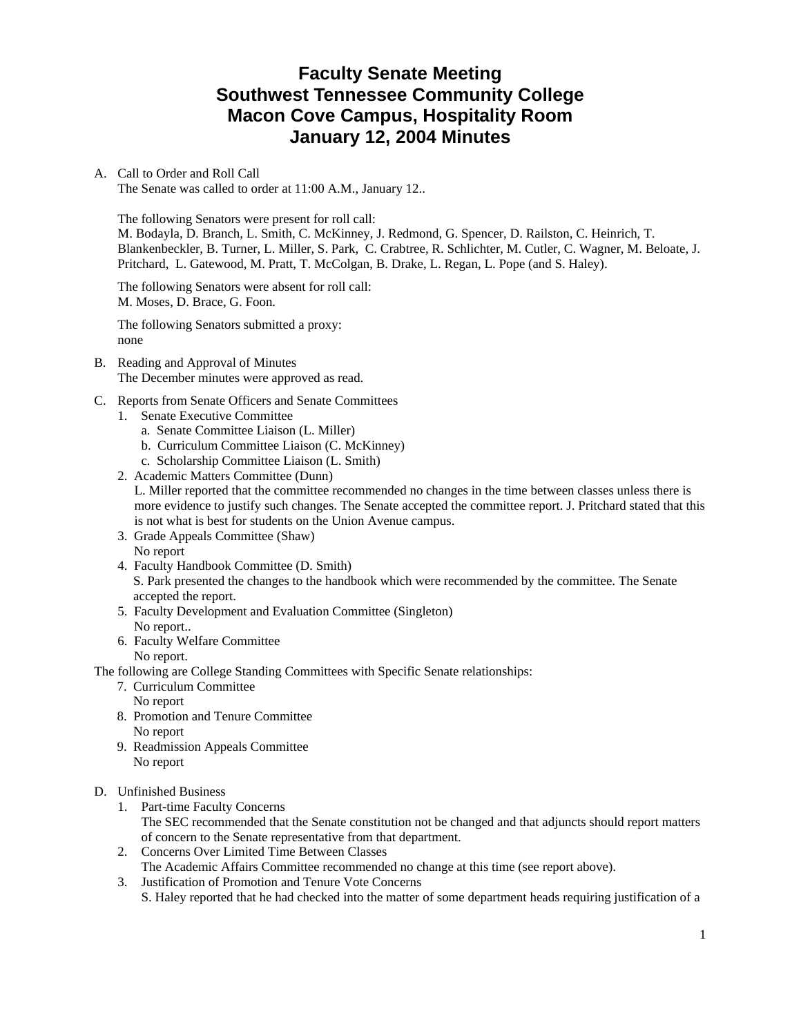# **Faculty Senate Meeting Southwest Tennessee Community College Macon Cove Campus, Hospitality Room January 12, 2004 Minutes**

#### A. Call to Order and Roll Call

The Senate was called to order at 11:00 A.M., January 12..

The following Senators were present for roll call:

M. Bodayla, D. Branch, L. Smith, C. McKinney, J. Redmond, G. Spencer, D. Railston, C. Heinrich, T. Blankenbeckler, B. Turner, L. Miller, S. Park, C. Crabtree, R. Schlichter, M. Cutler, C. Wagner, M. Beloate, J. Pritchard, L. Gatewood, M. Pratt, T. McColgan, B. Drake, L. Regan, L. Pope (and S. Haley).

The following Senators were absent for roll call: M. Moses, D. Brace, G. Foon.

The following Senators submitted a proxy: none

- B. Reading and Approval of Minutes The December minutes were approved as read.
- C. Reports from Senate Officers and Senate Committees
	- 1. Senate Executive Committee
		- a. Senate Committee Liaison (L. Miller)
		- b. Curriculum Committee Liaison (C. McKinney)
		- c. Scholarship Committee Liaison (L. Smith)
	- 2. Academic Matters Committee (Dunn)

L. Miller reported that the committee recommended no changes in the time between classes unless there is more evidence to justify such changes. The Senate accepted the committee report. J. Pritchard stated that this is not what is best for students on the Union Avenue campus.

- 3. Grade Appeals Committee (Shaw) No report
- 4. Faculty Handbook Committee (D. Smith) S. Park presented the changes to the handbook which were recommended by the committee. The Senate accepted the report.
- 5. Faculty Development and Evaluation Committee (Singleton) No report..
- 6. Faculty Welfare Committee
	- No report.

The following are College Standing Committees with Specific Senate relationships:

- 7. Curriculum Committee
	- No report
- 8. Promotion and Tenure Committee No report
- 9. Readmission Appeals Committee No report
- D. Unfinished Business
	- 1. Part-time Faculty Concerns The SEC recommended that the Senate constitution not be changed and that adjuncts should report matters of concern to the Senate representative from that department.
	- 2. Concerns Over Limited Time Between Classes The Academic Affairs Committee recommended no change at this time (see report above).
	- 3. Justification of Promotion and Tenure Vote Concerns S. Haley reported that he had checked into the matter of some department heads requiring justification of a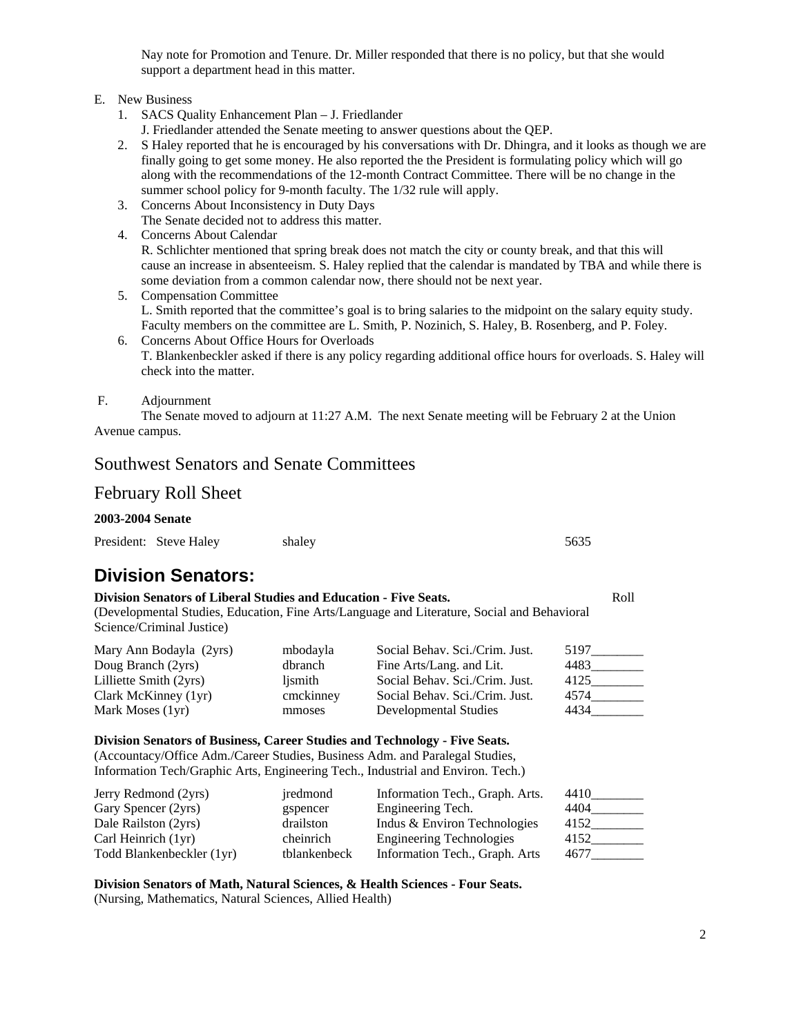Nay note for Promotion and Tenure. Dr. Miller responded that there is no policy, but that she would support a department head in this matter.

- E. New Business
	- 1. SACS Quality Enhancement Plan J. Friedlander
		- J. Friedlander attended the Senate meeting to answer questions about the QEP.
	- 2. S Haley reported that he is encouraged by his conversations with Dr. Dhingra, and it looks as though we are finally going to get some money. He also reported the the President is formulating policy which will go along with the recommendations of the 12-month Contract Committee. There will be no change in the summer school policy for 9-month faculty. The 1/32 rule will apply.
	- 3. Concerns About Inconsistency in Duty Days The Senate decided not to address this matter.
	- 4. Concerns About Calendar R. Schlichter mentioned that spring break does not match the city or county break, and that this will cause an increase in absenteeism. S. Haley replied that the calendar is mandated by TBA and while there is some deviation from a common calendar now, there should not be next year.
	- 5. Compensation Committee L. Smith reported that the committee's goal is to bring salaries to the midpoint on the salary equity study. Faculty members on the committee are L. Smith, P. Nozinich, S. Haley, B. Rosenberg, and P. Foley.
	- 6. Concerns About Office Hours for Overloads T. Blankenbeckler asked if there is any policy regarding additional office hours for overloads. S. Haley will check into the matter.

#### F. Adjournment

 The Senate moved to adjourn at 11:27 A.M. The next Senate meeting will be February 2 at the Union Avenue campus.

## Southwest Senators and Senate Committees

## February Roll Sheet

### **2003-2004 Senate**

| President: Steve Haley<br>shaley | 5635 |
|----------------------------------|------|
|----------------------------------|------|

# **Division Senators:**

| Division Senators of Liberal Studies and Education - Five Seats.                            |  |  |
|---------------------------------------------------------------------------------------------|--|--|
| (Developmental Studies, Education, Fine Arts/Language and Literature, Social and Behavioral |  |  |

Science/Criminal Justice)

| Mary Ann Bodayla (2yrs)<br>Doug Branch (2yrs)<br>Lilliette Smith (2yrs)<br>Clark McKinney (1yr) | mbodayla<br>dbranch<br>lismith<br>cmckinney | Social Behav. Sci./Crim. Just.<br>Fine Arts/Lang. and Lit.<br>Social Behav. Sci./Crim. Just.<br>Social Behav. Sci./Crim. Just. | 5197<br>4483<br>4125<br>4574<br>4434 |
|-------------------------------------------------------------------------------------------------|---------------------------------------------|--------------------------------------------------------------------------------------------------------------------------------|--------------------------------------|
| Mark Moses (1yr)                                                                                | mmoses                                      | Developmental Studies                                                                                                          |                                      |

#### **Division Senators of Business, Career Studies and Technology - Five Seats.**

(Accountacy/Office Adm./Career Studies, Business Adm. and Paralegal Studies, Information Tech/Graphic Arts, Engineering Tech., Industrial and Environ. Tech.)

| Jerry Redmond (2yrs)      | iredmond     | Information Tech., Graph. Arts. | 4410 |
|---------------------------|--------------|---------------------------------|------|
| Gary Spencer (2yrs)       | gspencer     | Engineering Tech.               | 4404 |
| Dale Railston (2yrs)      | drailston    | Indus & Environ Technologies    | 4152 |
| Carl Heinrich (1yr)       | cheinrich    | <b>Engineering Technologies</b> | 4152 |
| Todd Blankenbeckler (1yr) | tblankenbeck | Information Tech., Graph. Arts  | 4677 |

**Division Senators of Math, Natural Sciences, & Health Sciences - Four Seats.**  (Nursing, Mathematics, Natural Sciences, Allied Health)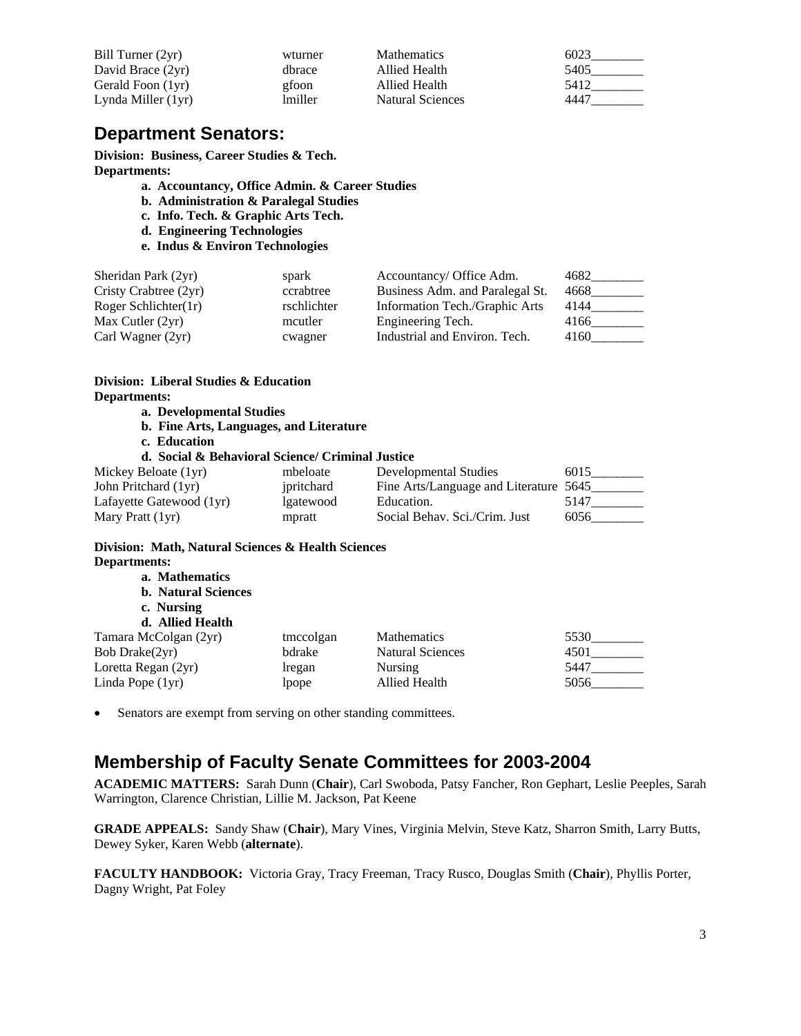| Bill Turner (2yr)  | wturner | <b>Mathematics</b>      | 6023 |
|--------------------|---------|-------------------------|------|
| David Brace (2yr)  | dhrace  | Allied Health           | 5405 |
| Gerald Foon (1yr)  | gfoon   | Allied Health           | 5412 |
| Lynda Miller (1yr) | lmiller | <b>Natural Sciences</b> | 4447 |

# **Department Senators:**

**Division: Business, Career Studies & Tech. Departments:** 

- **a. Accountancy, Office Admin. & Career Studies**
- **b. Administration & Paralegal Studies**
- **c. Info. Tech. & Graphic Arts Tech.**
- **d. Engineering Technologies**
- **e. Indus & Environ Technologies**

| Sheridan Park (2yr)   | spark       | Accountancy/ Office Adm.        | 4682 |
|-----------------------|-------------|---------------------------------|------|
| Cristy Crabtree (2yr) | ccrabtree   | Business Adm. and Paralegal St. | 4668 |
| Roger Schlichter(1r)  | rschlichter | Information Tech./Graphic Arts  | 4144 |
| Max Cutler $(2yr)$    | mcutler     | Engineering Tech.               | 4166 |
| Carl Wagner (2yr)     | cwagner     | Industrial and Environ. Tech.   | 4160 |

## **Division: Liberal Studies & Education Departments:**

- **a. Developmental Studies**
- **b. Fine Arts, Languages, and Literature**
- **c. Education**

### **d. Social & Behavioral Science/ Criminal Justice**

| Mickey Beloate (1yr)     | mbeloate   | Developmental Studies                  | 6015 |
|--------------------------|------------|----------------------------------------|------|
| John Pritchard (1yr)     | ipritchard | Fine Arts/Language and Literature 5645 |      |
| Lafayette Gatewood (1yr) | lgatewood  | Education.                             | 5147 |
| Mary Pratt (1yr)         | mpratt     | Social Behav. Sci./Crim. Just          | 6056 |

### **Division: Math, Natural Sciences & Health Sciences Departments:**

| a. Mathematics<br><b>b.</b> Natural Sciences<br>c. Nursing |           |                         |      |
|------------------------------------------------------------|-----------|-------------------------|------|
| d. Allied Health                                           |           |                         |      |
| Tamara McColgan (2yr)                                      | tmccolgan | <b>Mathematics</b>      | 5530 |
| Bob Drake(2yr)                                             | bdrake    | <b>Natural Sciences</b> | 4501 |
| Loretta Regan (2yr)                                        | lregan    | <b>Nursing</b>          | 5447 |
| Linda Pope (1yr)                                           | lpope     | Allied Health           | 5056 |

• Senators are exempt from serving on other standing committees.

# **Membership of Faculty Senate Committees for 2003-2004**

**ACADEMIC MATTERS:** Sarah Dunn (**Chair**), Carl Swoboda, Patsy Fancher, Ron Gephart, Leslie Peeples, Sarah Warrington, Clarence Christian, Lillie M. Jackson, Pat Keene

**GRADE APPEALS:** Sandy Shaw (**Chair**), Mary Vines, Virginia Melvin, Steve Katz, Sharron Smith, Larry Butts, Dewey Syker, Karen Webb (**alternate**).

**FACULTY HANDBOOK:** Victoria Gray, Tracy Freeman, Tracy Rusco, Douglas Smith (**Chair**), Phyllis Porter, Dagny Wright, Pat Foley